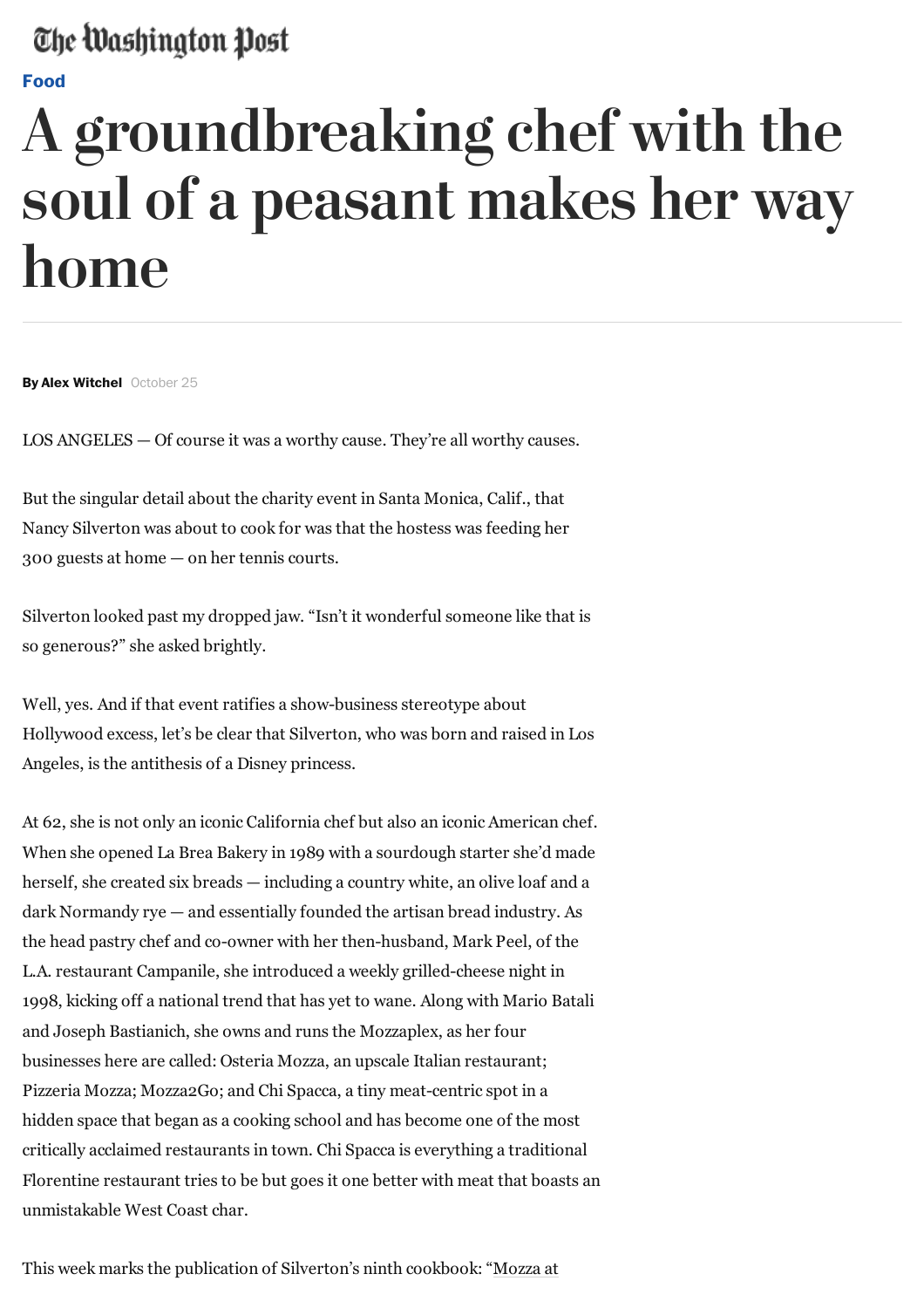## The Washington Post

**Food**

## **A groundbreaking chef with the soul of a peasant makes her way home**

**By Alex Witchel** October 25

 $\text{LOS ANGELES}$  — Of course it was a worthy cause. They're all worthy causes.

But the singular detail about the charity event in Santa Monica, Calif., that Nancy Silverton was about to cook for was that the hostess was feeding her  $300$  guests at home — on her tennis courts.

Silverton looked past my dropped jaw. "Isn't it wonderful someone like that is so generous?" she asked brightly.

Well, yes. And if that event ratifies a show-business stereotype about Hollywood excess, let's be clear that Silverton, who was born and raised in Los Angeles, is the antithesis of a Disney princess.

At 62, she is not only an iconic California chef but also an iconic American chef. When she opened La Brea Bakery in 1989 with a sourdough starter she'd made herself, she created six breads — including a country white, an olive loaf and a dark Normandy rye — and essentially founded the artisan bread industry. As the head pastry chef and co-owner with her then-husband, Mark Peel, of the L.A. restaurant Campanile, she introduced a weekly grilled-cheese night in 1998, kicking off a national trend that has yet to wane. Along with Mario Batali and Joseph Bastianich, she owns and runs the Mozzaplex, as her four businesses here are called: Osteria Mozza, an upscale Italian restaurant; Pizzeria Mozza; Mozza2Go; and Chi Spacca, a tiny meat-centric spot in a hidden space that began as a cooking school and has become one of the most critically acclaimed restaurants in town. Chi Spacca is everything a traditional Florentine restaurant tries to be but goes it one better with meat that boasts an unmistakable West Coast char.

This week marks the publication of Silverton's ninth cookbook: "Mozza at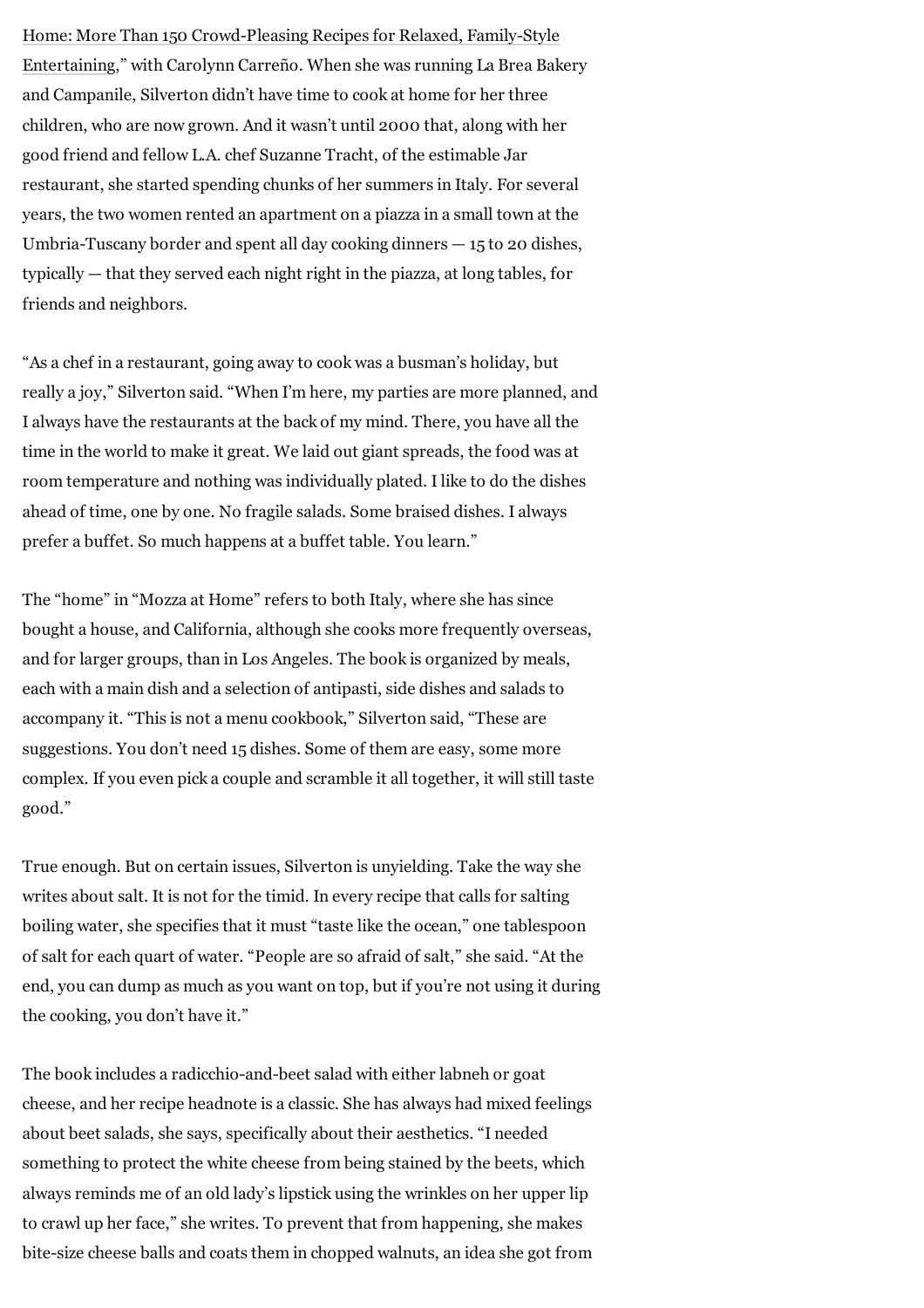Home: More Than 150 Crowd-Pleasing Recipes for Relaxed, Family-Style Entertaining," with Carolynn Carreño. When she was running La Brea Bakery and Campanile, Silverton didn't have time to cook at home for her three children, who are now grown. And it wasn't until 2000 that, along with her good friend and fellow L.A. chef Suzanne Tracht, of the estimable Jar restaurant, she started spending chunks of her summers in Italy. For several years, the two women rented an apartment on a piazza in a small town at the Umbria-Tuscany border and spent all day cooking dinners  $-15$  to 20 dishes, typically — that they served each night right in the piazza, at long tables, for friends and neighbors.

"As a chef in a restaurant, going away to cook was a busman's holiday, but really a joy," Silverton said. "When I'm here, my parties are more planned, and I always have the restaurants at the back of my mind. There, you have all the time in the world to make it great. We laid out giant spreads, the food was at room temperature and nothing was individually plated. I like to do the dishes ahead of time, one by one. No fragile salads. Some braised dishes. I always prefer a buffet. So much happens at a buffet table. You learn."

The "home" in "Mozza at Home" refers to both Italy, where she has since bought a house, and California, although she cooks more frequently overseas, and for larger groups, than in Los Angeles. The book is organized by meals, each with a main dish and a selection of antipasti, side dishes and salads to accompany it. "This is not a menu cookbook," Silverton said, "These are suggestions. You don't need 15 dishes. Some of them are easy, some more complex. If you even pick a couple and scramble it all together, it will still taste good."

True enough. But on certain issues, Silverton is unvielding. Take the way she writes about salt. It is not for the timid. In every recipe that calls for salting boiling water, she specifies that it must "taste like the ocean," one tablespoon of salt for each quart of water. "People are so afraid of salt," she said. "At the end, you can dump as much as you want on top, but if you're not using it during the cooking, you don't have it."

The book includes a radicchio-and-beet salad with either labneh or goat cheese, and her recipe headnote is a classic. She has always had mixed feelings about beet salads, she says, specifically about their aesthetics. "I needed something to protect the white cheese from being stained by the beets, which always reminds me of an old lady's lipstick using the wrinkles on her upper lip to crawl up her face," she writes. To prevent that from happening, she makes bite-size cheese balls and coats them in chopped walnuts, an idea she got from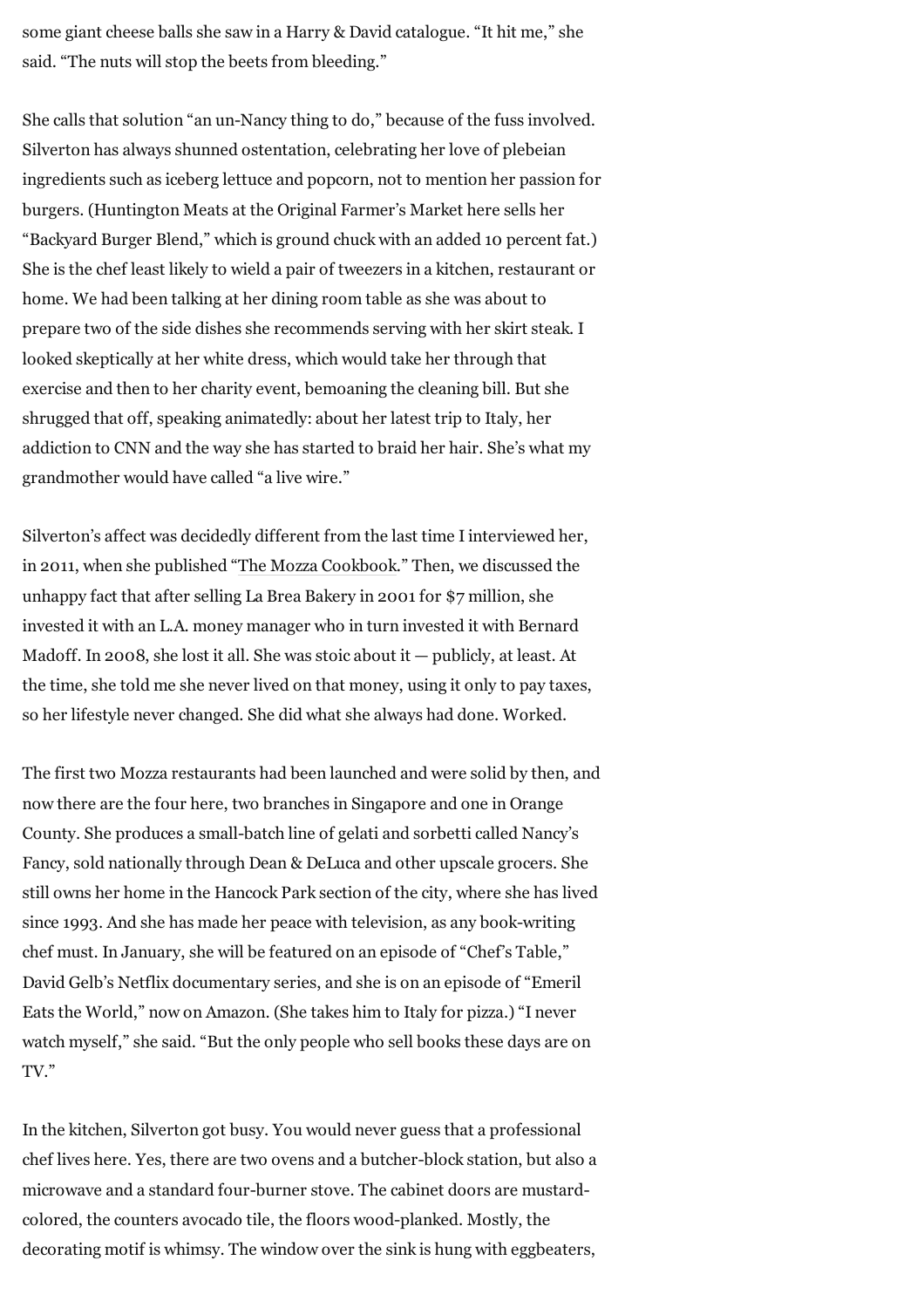some giant cheese balls she saw in a Harry & David catalogue. "It hit me," she said. "The nuts will stop the beets from bleeding."

She calls that solution "an un-Nancy thing to do," because of the fuss involved. Silverton has always shunned ostentation, celebrating her love of plebeian ingredients such as iceberg lettuce and popcorn, not to mention her passion for burgers. (Huntington Meats at the Original Farmer's Market here sells her "Backyard Burger Blend," which is ground chuck with an added 10 percent fat.) She is the chef least likely to wield a pair of tweezers in a kitchen, restaurant or home. We had been talking at her dining room table as she was about to prepare two of the side dishes she recommends serving with her skirt steak. I looked skeptically at her white dress, which would take her through that exercise and then to her charity event, bemoaning the cleaning bill. But she shrugged that off, speaking animatedly: about her latest trip to Italy, her addiction to CNN and the way she has started to braid her hair. She's what my grandmother would have called "a live wire."

Silverton's affect was decidedly different from the last time I interviewed her, in 2011, when she published "The Mozza Cookbook." Then, we discussed the unhappy fact that after selling La Brea Bakery in 2001 for \$7 million, she invested it with an L.A. money manager who in turn invested it with Bernard Madoff. In 2008, she lost it all. She was stoic about it — publicly, at least. At the time, she told me she never lived on that money, using it only to pay taxes, so her lifestyle never changed. She did what she always had done. Worked.

The first two Mozza restaurants had been launched and were solid by then, and now there are the four here, two branches in Singapore and one in Orange County. She produces a small-batch line of gelati and sorbetti called Nancy's Fancy, sold nationally through Dean & DeLuca and other upscale grocers. She still owns her home in the Hancock Park section of the city, where she has lived since 1993. And she has made her peace with television, as any book-writing chef must. In January, she will be featured on an episode of "Chef's Table," David Gelb's Netflix documentary series, and she is on an episode of "Emeril" Eats the World," now on Amazon. (She takes him to Italy for pizza.) "I never watch myself," she said.. "But the only people who sell books these days are on TV."

In the kitchen, Silverton got busy. You would never guess that a professional chef lives here. Yes, there are two ovens and a butcher-block station, but also a microwave and a standard four-burner stove. The cabinet doors are mustardcolored, the counters avocado tile, the floors wood-planked. Mostly, the decorating motif is whimsy. The window over the sink is hung with eggbeaters,